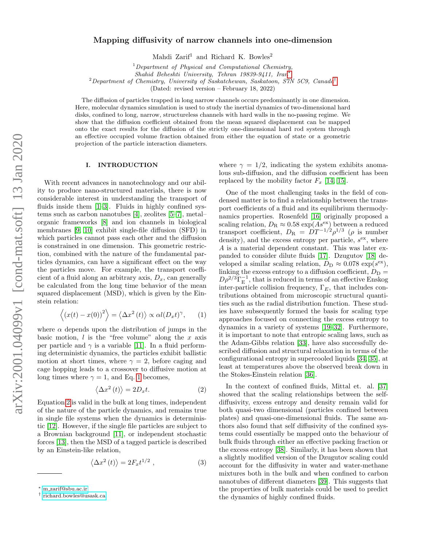# Mapping diffusivity of narrow channels into one-dimension

Mahdi Zarif<sup>1</sup> and Richard K. Bowles<sup>2</sup>

 $1$ Department of Physical and Computational Chemistry,

Shahid Beheshti University, Tehran 19839-9411, Iran[∗](#page-0-0)

 $2$ Department of Chemistry, University of Saskatchewan, Saskatoon, S7N 5C9, Canada<sup>[†](#page-0-1)</sup>

(Dated: revised version – February 18, 2022)

The diffusion of particles trapped in long narrow channels occurs predominantly in one dimension. Here, molecular dynamics simulation is used to study the inertial dynamics of two-dimensional hard disks, confined to long, narrow, structureless channels with hard walls in the no-passing regime. We show that the diffusion coefficient obtained from the mean squared displacement can be mapped onto the exact results for the diffusion of the strictly one-dimensional hard rod system through an effective occupied volume fraction obtained from either the equation of state or a geometric projection of the particle interaction diameters.

### I. INTRODUCTION

With recent advances in nanotechnology and our ability to produce nano-structured materials, there is now considerable interest in understanding the transport of fluids inside them  $[1-3]$  $[1-3]$ . Fluids in highly confined systems such as carbon nanotubes [\[4\]](#page-6-2), zeolites [\[5–](#page-6-3)[7\]](#page-6-4), metal– organic frameworks [\[8\]](#page-6-5) and ion channels in biological membranes [\[9,](#page-6-6) [10\]](#page-6-7) exhibit single-file diffusion (SFD) in which particles cannot pass each other and the diffusion is constrained in one dimension. This geometric restriction, combined with the nature of the fundamental particles dynamics, can have a significant effect on the way the particles move. For example, the transport coefficient of a fluid along an arbitrary axis,  $D_x$ , can generally be calculated from the long time behavior of the mean squared displacement (MSD), which is given by the Einstein relation:

<span id="page-0-2"></span>
$$
\langle (x(t) - x(0))^2 \rangle = \langle \Delta x^2(t) \rangle \propto \alpha l (D_x t)^\gamma, \qquad (1)
$$

where  $\alpha$  depends upon the distribution of jumps in the basic motion,  $l$  is the "free volume" along the  $x$  axis per particle and  $\gamma$  is a variable [\[11\]](#page-6-8). In a fluid performing deterministic dynamics, the particles exhibit ballistic motion at short times, where  $\gamma = 2$ , before caging and cage hopping leads to a crossover to diffusive motion at long times where  $\gamma = 1$  $\gamma = 1$ , and Eq. 1 becomes,

<span id="page-0-3"></span>
$$
\langle \Delta x^2(t) \rangle = 2D_x t. \tag{2}
$$

Equation [2](#page-0-3) is valid in the bulk at long times, independent of the nature of the particle dynamics, and remains true in single file systems when the dynamics is deterministic [\[12\]](#page-6-9). However, if the single file particles are subject to a Brownian background [\[11\]](#page-6-8), or independent stochastic forces [\[13\]](#page-6-10), then the MSD of a tagged particle is described by an Einstein-like relation,

$$
\langle \Delta x^2(t) \rangle = 2F_x t^{1/2} , \qquad (3)
$$

where  $\gamma = 1/2$ , indicating the system exhibits anomalous sub-diffusion, and the diffusion coefficient has been replaced by the mobility factor  $F_x$  [\[14,](#page-6-11) [15\]](#page-6-12).

One of the most challenging tasks in the field of condensed matter is to find a relationship between the transport coefficients of a fluid and its equilibrium thermodynamics properties. Rosenfeld [\[16\]](#page-6-13) originally proposed a scaling relation,  $D_R \approx 0.58 \exp(As^{\text{ex}})$  between a reduced transport coefficient,  $D_R = DT^{-1/2} \rho^{1/3}$  ( $\rho$  is number density), and the excess entropy per particle,  $s^{\text{ex}}$ , where A is a material dependent constant. This was later expanded to consider dilute fluids [\[17\]](#page-6-14). Dzugutov [\[18\]](#page-6-15) developed a similar scaling relation,  $D_{\rm D} \approx 0.078 \exp(s^{\rm ex})$ , linking the excess entropy to a diffusion coefficient,  $D_D =$  $D\rho^{2/3}\Gamma_{\rm E}^{-1}$ , that is reduced in terms of an effective Enskog inter-particle collision frequency,  $\Gamma_E$ , that includes contributions obtained from microscopic structural quantities such as the radial distribution function. These studies have subsequently formed the basis for scaling type approaches focused on connecting the excess entropy to dynamics in a variety of systems [\[19](#page-6-16)[–32\]](#page-6-17). Furthermore, it is important to note that entropic scaling laws, such as the Adam-Gibbs relation [\[33\]](#page-6-18), have also successfully described diffusion and structural relaxation in terms of the configurational entropy in supercooled liquids [\[34,](#page-6-19) [35\]](#page-6-20), at least at temperatures above the observed break down in the Stokes-Einstein relation [\[36\]](#page-6-21).

In the context of confined fluids, Mittal et. al. [\[37\]](#page-6-22) showed that the scaling relationships between the selfdiffusivity, excess entropy and density remain valid for both quasi-two dimensional (particles confined between plates) and quasi-one-dimensional fluids. The same authors also found that self diffusivity of the confined systems could essentially be mapped onto the behaviour of bulk fluids through either an effective packing fraction or the excess entropy [\[38\]](#page-6-23). Similarly, it has been shown that a slightly modified version of the Dzugutov scaling could account for the diffusivity in water and water-methane mixtures both in the bulk and when confined to carbon nanotubes of different diameters [\[39\]](#page-6-24). This suggests that the properties of bulk materials could be used to predict the dynamics of highly confined fluids.

<span id="page-0-0"></span><sup>∗</sup> m [zarif@sbu.ac.ir](mailto:m_zarif@sbu.ac.ir)

<span id="page-0-1"></span><sup>†</sup> [richard.bowles@usask.ca](mailto:richard.bowles@usask.ca)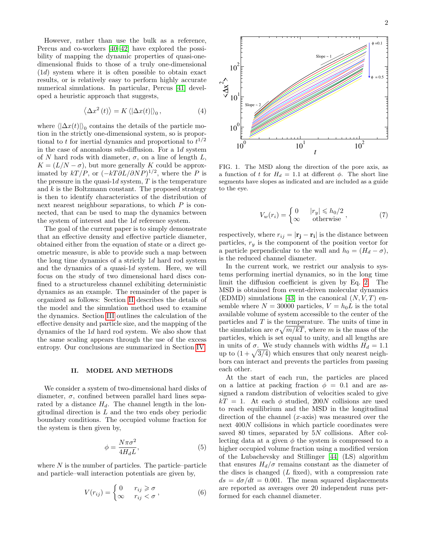However, rather than use the bulk as a reference, Percus and co-workers [\[40–](#page-6-25)[42\]](#page-6-26) have explored the possibility of mapping the dynamic properties of quasi-onedimensional fluids to those of a truly one-dimensional (1d) system where it is often possible to obtain exact results, or is relatively easy to perform highly accurate numerical simulations. In particular, Percus [\[41\]](#page-6-27) developed a heuristic approach that suggests,

$$
\langle \Delta x^2(t) \rangle = K \langle |\Delta x(t)| \rangle_0, \qquad (4)
$$

where  $\langle |\Delta x(t)| \rangle_0$  contains the details of the particle motion in the strictly one-dimensional system, so is proportional to t for inertial dynamics and proportional to  $t^{1/2}$ in the case of anomalous sub-diffusion. For a 1d system of N hard rods with diameter,  $\sigma$ , on a line of length L,  $K = (L/N - \sigma)$ , but more generally K could be approximated by  $kT/P$ , or  $(-kT \partial L/\partial NP)^{1/2}$ , where the P is the pressure in the quasi-1d system,  $T$  is the temperature and  $k$  is the Boltzmann constant. The proposed strategy is then to identify characteristics of the distribution of next nearest neighbour separations, to which  $P$  is connected, that can be used to map the dynamics between the system of interest and the 1d reference system.

The goal of the current paper is to simply demonstrate that an effective density and effective particle diameter, obtained either from the equation of state or a direct geometric measure, is able to provide such a map between the long time dynamics of a strictly 1d hard rod system and the dynamics of a quasi-1d system. Here, we will focus on the study of two dimensional hard discs confined to a structureless channel exhibiting deterministic dynamics as an example. The remainder of the paper is organized as follows: Section [II](#page-1-0) describes the details of the model and the simulation method used to examine the dynamics. Section [III](#page-2-0) outlines the calculation of the effective density and particle size, and the mapping of the dynamics of the 1d hard rod system. We also show that the same scaling appears through the use of the excess entropy. Our conclusions are summarized in Section [IV.](#page-5-0)

#### <span id="page-1-0"></span>II. MODEL AND METHODS

We consider a system of two-dimensional hard disks of diameter,  $\sigma$ , confined between parallel hard lines separated by a distance  $H_d$ . The channel length in the longitudinal direction is  $L$  and the two ends obey periodic boundary conditions. The occupied volume fraction for the system is then given by,

$$
\phi = \frac{N\pi\sigma^2}{4H_dL},\tag{5}
$$

where  $N$  is the number of particles. The particle–particle and particle–wall interaction potentials are given by,

$$
V(r_{ij}) = \begin{cases} 0 & r_{ij} \ge \sigma \\ \infty & r_{ij} < \sigma \end{cases}, \tag{6}
$$



<span id="page-1-1"></span>FIG. 1. The MSD along the direction of the pore axis, as a function of t for  $H_d = 1.1$  at different  $\phi$ . The short line segments have slopes as indicated and are included as a guide to the eye.

$$
V_w(r_i) = \begin{cases} 0 & |r_y| \le h_0/2 \\ \infty & \text{otherwise} \end{cases}, \tag{7}
$$

respectively, where  $r_{ij} = |\mathbf{r}_j - \mathbf{r}_i|$  is the distance between particles,  $r_y$  is the component of the position vector for a particle perpendicular to the wall and  $h_0 = (H_d - \sigma)$ , is the reduced channel diameter.

In the current work, we restrict our analysis to systems performing inertial dynamics, so in the long time limit the diffusion coefficient is given by Eq. [2.](#page-0-3) The MSD is obtained from event-driven molecular dynamics (EDMD) simulations [\[43\]](#page-6-28) in the canonical  $(N, V, T)$  ensemble where  $N = 30000$  particles,  $V = h_0 L$  is the total available volume of system accessible to the center of the particles and  $T$  is the temperature. The units of time in the simulation are  $\sigma \sqrt{m/kT}$ , where m is the mass of the particles, which is set equal to unity, and all lengths are in units of  $\sigma$ . We study channels with widths  $H_d = 1.1$ up to  $(1+\sqrt{3/4})$  which ensures that only nearest neighbors can interact and prevents the particles from passing each other.

At the start of each run, the particles are placed on a lattice at packing fraction  $\phi = 0.1$  and are assigned a random distribution of velocities scaled to give  $kT = 1$ . At each  $\phi$  studied, 200N collisions are used to reach equilibrium and the MSD in the longitudinal direction of the channel  $(x\text{-axis})$  was measured over the next 400N collisions in which particle coordinates were saved 80 times, separated by  $5N$  collisions. After collecting data at a given  $\phi$  the system is compressed to a higher occupied volume fraction using a modified version of the Lubachevsky and Stillinger [\[44\]](#page-6-29) (LS) algorithm that ensures  $H_d/\sigma$  remains constant as the diameter of the discs is changed  $(L \text{ fixed})$ , with a compression rate  $ds = d\sigma/dt = 0.001$ . The mean squared displacements are reported as averages over 20 independent runs performed for each channel diameter.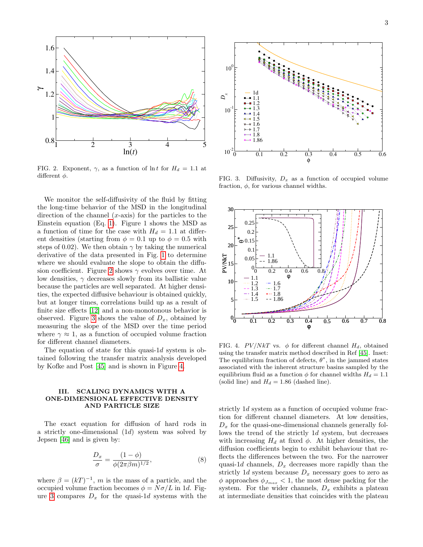

<span id="page-2-1"></span>FIG. 2. Exponent,  $\gamma$ , as a function of ln t for  $H_d = 1.1$  at different  $\phi$ .

We monitor the self-diffusivity of the fluid by fitting the long-time behavior of the MSD in the longitudinal direction of the channel  $(x\text{-axis})$  for the particles to the Einstein equation (Eq. [1\)](#page-0-2). Figure 1 shows the MSD as a function of time for the case with  $H_d = 1.1$  at different densities (starting from  $\phi = 0.1$  up to  $\phi = 0.5$  with steps of 0.02). We then obtain  $\gamma$  by taking the numerical derivative of the data presented in Fig. [1](#page-1-1) to determine where we should evaluate the slope to obtain the diffu-sion coefficient. Figure [2](#page-2-1) shows  $\gamma$  evolves over time. At low densities,  $\gamma$  decreases slowly from its ballistic value because the particles are well separated. At higher densities, the expected diffusive behaviour is obtained quickly, but at longer times, correlations build up as a result of finite size effects [\[12\]](#page-6-9) and a non-monotonous behavior is observed. Figure [3](#page-2-2) shows the value of  $D_x$ , obtained by measuring the slope of the MSD over the time period where  $\gamma \approx 1$ , as a function of occupied volume fraction for different channel diameters.

The equation of state for this quasi-1d system is obtained following the transfer matrix analysis developed by Kofke and Post [\[45\]](#page-6-30) and is shown in Figure [4.](#page-2-3)

## <span id="page-2-0"></span>III. SCALING DYNAMICS WITH A ONE-DIMENSIONAL EFFECTIVE DENSITY AND PARTICLE SIZE

The exact equation for diffusion of hard rods in a strictly one-dimensional (1d) system was solved by Jepsen [\[46\]](#page-6-31) and is given by:

<span id="page-2-4"></span>
$$
\frac{D_x}{\sigma} = \frac{(1-\phi)}{\phi(2\pi\beta m)^{1/2}},\tag{8}
$$

where  $\beta = (kT)^{-1}$ , m is the mass of a particle, and the occupied volume fraction becomes  $\phi = N\sigma/L$  in 1d. Fig-ure [3](#page-2-2) compares  $D_x$  for the quasi-1d systems with the



<span id="page-2-2"></span>FIG. 3. Diffusivity,  $D_x$  as a function of occupied volume fraction,  $\phi$ , for various channel widths.



<span id="page-2-3"></span>FIG. 4.  $PV/NkT$  vs.  $\phi$  for different channel  $H_d$ , obtained using the transfer matrix method described in Ref [\[45\]](#page-6-30). Inset: The equilibrium fraction of defects,  $\theta^*$ , in the jammed states associated with the inherent structure basins sampled by the equilibrium fluid as a function  $\phi$  for channel widths  $H_d = 1.1$ (solid line) and  $H_d = 1.86$  (dashed line).

strictly 1d system as a function of occupied volume fraction for different channel diameters. At low densities,  $D_x$  for the quasi-one-dimensional channels generally follows the trend of the strictly 1d system, but decreases with increasing  $H_d$  at fixed  $\phi$ . At higher densities, the diffusion coefficients begin to exhibit behaviour that reflects the differences between the two. For the narrower quasi-1d channels,  $D_x$  decreases more rapidly than the strictly 1d system because  $D_x$  necessary goes to zero as  $\phi$  approaches  $\phi_{J_{max}} < 1$ , the most dense packing for the system. For the wider channels,  $D_x$  exhibits a plateau at intermediate densities that coincides with the plateau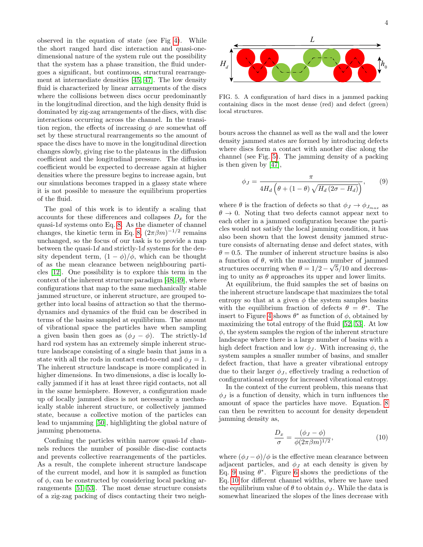observed in the equation of state (see Fig [4\)](#page-2-3). While the short ranged hard disc interaction and quasi-onedimensional nature of the system rule out the possibility that the system has a phase transition, the fluid undergoes a significant, but continuous, structural rearrangement at intermediate densities [\[45,](#page-6-30) [47\]](#page-6-32). The low density fluid is characterized by linear arrangements of the discs where the collisions between discs occur predominantly in the longitudinal direction, and the high density fluid is dominated by zig-zag arrangements of the discs, with disc interactions occurring across the channel. In the transition region, the effects of increasing  $\phi$  are somewhat off set by these structural rearrangements so the amount of space the discs have to move in the longitudinal direction changes slowly, giving rise to the plateaus in the diffusion coefficient and the longitudinal pressure. The diffusion coefficient would be expected to decrease again at higher densities where the pressure begins to increase again, but our simulations becomes trapped in a glassy state where it is not possible to measure the equilibrium properties of the fluid.

The goal of this work is to identify a scaling that accounts for these differences and collapses  $D_x$  for the quasi-1d systems onto Eq. [8.](#page-2-4) As the diameter of channel changes, the kinetic term in Eq. [8,](#page-2-4)  $(2\pi\beta m)^{-1/2}$  remains unchanged, so the focus of our task is to provide a map between the quasi-1d and strictly-1d systems for the density dependent term,  $(1 - \phi)/\phi$ , which can be thought of as the mean clearance between neighbouring particles [\[12\]](#page-6-9). One possibility is to explore this term in the context of the inherent structure paradigm [\[48,](#page-6-33) [49\]](#page-6-34), where configurations that map to the same mechanically stable jammed structure, or inherent structure, are grouped together into local basins of attraction so that the thermodynamics and dynamics of the fluid can be described in terms of the basins sampled at equilibrium. The amount of vibrational space the particles have when sampling a given basin then goes as  $(\phi_J - \phi)$ . The strictly-1d hard rod system has an extremely simple inherent structure landscape consisting of a single basin that jams in a state with all the rods in contact end-to-end and  $\phi_I = 1$ . The inherent structure landscape is more complicated in higher dimensions. In two dimensions, a disc is locally locally jammed if it has at least three rigid contacts, not all in the same hemisphere. However, a configuration made up of locally jammed discs is not necessarily a mechanically stable inherent structure, or collectively jammed state, because a collective motion of the particles can lead to unjamming [\[50\]](#page-6-35), highlighting the global nature of jamming phenomena.

Confining the particles within narrow quasi-1 $d$  channels reduces the number of possible disc-disc contacts and prevents collective rearrangements of the particles. As a result, the complete inherent structure landscape of the current model, and how it is sampled as function of  $\phi$ , can be constructed by considering local packing arrangements [\[51](#page-6-36)[–53\]](#page-6-37). The most dense structure consists of a zig-zag packing of discs contacting their two neigh-



<span id="page-3-0"></span>FIG. 5. A configuration of hard discs in a jammed packing containing discs in the most dense (red) and defect (green) local structures.

bours across the channel as well as the wall and the lower density jammed states are formed by introducing defects where discs form a contact with another disc along the channel (see Fig. [5\)](#page-3-0). The jamming density of a packing is then given by [\[47\]](#page-6-32),

<span id="page-3-1"></span>
$$
\phi_J = \frac{\pi}{4H_d \left(\theta + (1 - \theta) \sqrt{H_d \left(2\sigma - H_d\right)}\right)},\qquad(9)
$$

where  $\theta$  is the fraction of defects so that  $\phi_J \to \phi_{J_{max}}$  as  $\theta \to 0$ . Noting that two defects cannot appear next to each other in a jammed configuration because the particles would not satisfy the local jamming condition, it has also been shown that the lowest density jammed structure consists of alternating dense and defect states, with  $\theta = 0.5$ . The number of inherent structure basins is also a function of  $\theta$ , with the maximum number of jammed structures occurring when  $\theta = 1/2 - \sqrt{5}/10$  and decreasing to unity as  $\theta$  approaches its upper and lower limits.

At equilibrium, the fluid samples the set of basins on the inherent structure landscape that maximizes the total entropy so that at a given  $\phi$  the system samples basins with the equilibrium fraction of defects  $\theta = \theta^*$ . The insert to Figure [4](#page-2-3) shows  $\theta^*$  as function of  $\phi$ , obtained by maximizing the total entropy of the fluid [\[52,](#page-6-38) [53\]](#page-6-37). At low  $\phi$ , the system samples the region of the inherent structure landscape where there is a large number of basins with a high defect fraction and low  $\phi_J$ . With increasing  $\phi$ , the system samples a smaller number of basins, and smaller defect fraction, that have a greater vibrational entropy due to their larger  $\phi_J$ , effectively trading a reduction of configurational entropy for increased vibrational entropy.

In the context of the current problem, this means that  $\phi_J$  is a function of density, which in turn influences the amount of space the particles have move. Equation. [8](#page-2-4) can then be rewritten to account for density dependent jamming density as,

<span id="page-3-2"></span>
$$
\frac{D_x}{\sigma} = \frac{(\phi_J - \phi)}{\phi(2\pi\beta m)^{1/2}},\tag{10}
$$

where  $(\phi_J - \phi)/\phi$  is the effective mean clearance between adjacent particles, and  $\phi_J$  at each density is given by Eq. [9](#page-3-1) using  $\theta^*$ . Figure [6](#page-4-0) shows the predictions of the Eq. [10](#page-3-2) for different channel widths, where we have used the equilibrium value of  $\theta$  to obtain  $\phi_J$ . While the data is somewhat linearized the slopes of the lines decrease with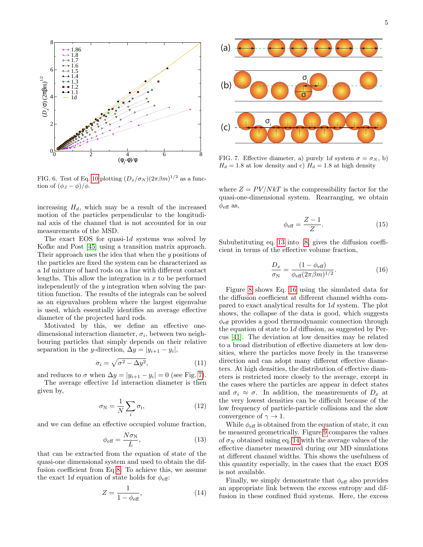

<span id="page-4-0"></span>FIG. 6. Test of Eq. [10](#page-3-2) plotting  $(D_x/\sigma_y)(2\pi\beta m)^{1/2}$  as a function of  $(\phi_J - \phi)/\phi$ .

increasing  $H_d$ , which may be a result of the increased motion of the particles perpendicular to the longitudinal axis of the channel that is not accounted for in our measurements of the MSD.

The exact EOS for quasi-1d systems was solved by Kofke and Post [\[45\]](#page-6-30) using a transition matrix approach. Their approach uses the idea that when the y positions of the particles are fixed the system can be characterized as a 1d mixture of hard rods on a line with different contact lengths. This allow the integration in  $x$  to be performed independently of the y integration when solving the partition function. The results of the integrals can be solved as an eigenvalues problem where the largest eigenvalue is used, which essentially identifies an average effective diameter of the projected hard rods.

Motivated by this, we define an effective onedimensional interaction diameter,  $\sigma_i$ , between two neighbouring particles that simply depends on their relative separation in the y-direction,  $\Delta y = |y_{i+1} - y_i|$ ,

<span id="page-4-5"></span>
$$
\sigma_i = \sqrt{\sigma^2 - \Delta y^2},\tag{11}
$$

and reduces to  $\sigma$  when  $\Delta y = |y_{i+1} - y_i| = 0$  (see Fig. [7\)](#page-4-1).

The average effective 1d interaction diameter is then given by,

$$
\sigma_{\rm N} = \frac{1}{N} \sum_{i} \sigma_{i},\tag{12}
$$

and we can define an effective occupied volume fraction,

<span id="page-4-2"></span>
$$
\phi_{\text{eff}} = \frac{N\sigma_{\text{N}}}{L},\tag{13}
$$

that can be extracted from the equation of state of the quasi-one dimensional system and used to obtain the diffusion coefficient from Eq [8.](#page-2-4) To achieve this, we assume the exact 1d equation of state holds for  $\phi_{\text{eff}}$ :

<span id="page-4-4"></span>
$$
Z = \frac{1}{1 - \phi_{\text{eff}}},\tag{14}
$$



<span id="page-4-1"></span>FIG. 7. Effective diameter, a) purely 1d system  $\sigma = \sigma_N$ , b)  $H_d = 1.8$  at low density and c)  $H_d = 1.8$  at high density

where  $Z = PV/NkT$  is the compressibility factor for the quasi-one-dimensional system. Rearranging, we obtain  $\phi_{\text{eff}}$  as,

$$
\phi_{\text{eff}} = \frac{Z - 1}{Z}.\tag{15}
$$

Sububstituting eq. [13](#page-4-2) into [8,](#page-2-4) gives the diffusion coefficient in terms of the effective volume fraction,

<span id="page-4-3"></span>
$$
\frac{D_x}{\sigma_N} = \frac{(1 - \phi_{\text{eff}})}{\phi_{\text{eff}} (2\pi\beta m)^{1/2}}.
$$
\n(16)

Figure [8](#page-5-1) shows Eq. [16](#page-4-3) using the simulated data for the diffusion coefficient at different channel widths compared to exact analytical results for 1d system. The plot shows, the collapse of the data is good, which suggests  $\phi_{\text{eff}}$  provides a good thermodynamic connection through the equation of state to 1d diffusion, as suggested by Percus [\[41\]](#page-6-27). The deviation at low densities may be related to a broad distribution of effective diameters at low densities, where the particles move freely in the transverse direction and can adopt many different effective diameters. At high densities, the distribution of effective diameters is restricted more closely to the average, except in the cases where the particles are appear in defect states and  $\sigma_i \approx \sigma$ . In addition, the measurements of  $D_x$  at the very lowest densities can be difficult because of the low frequency of particle-particle collisions and the slow convergence of  $\gamma \to 1$ .

While  $\phi_{\text{eff}}$  is obtained from the equation of state, it can be measured geometrically. Figure [9](#page-5-2) compares the values of  $\sigma_N$  obtained using eq. [14](#page-4-4) with the average values of the effective diameter measured during our MD simulations at different channel widths. This shows the usefulness of this quantity especially, in the cases that the exact EOS is not available.

Finally, we simply demonstrate that  $\phi_{\text{eff}}$  also provides an appropriate link between the excess entropy and diffusion in these confined fluid systems. Here, the excess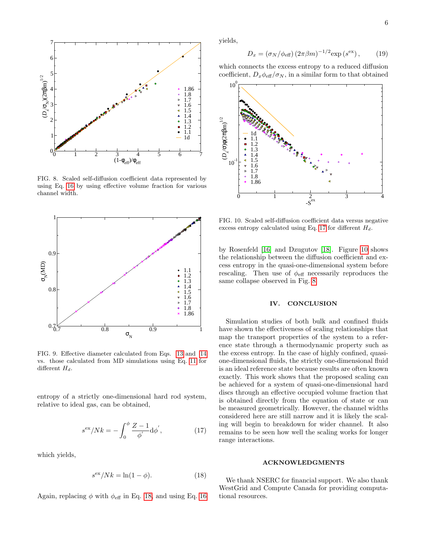

<span id="page-5-1"></span>FIG. 8. Scaled self-diffusion coefficient data represented by using Eq. [16](#page-4-3) by using effective volume fraction for various channel width.



<span id="page-5-2"></span>FIG. 9. Effective diameter calculated from Eqs. [13](#page-4-2) and [14](#page-4-4) vs. those calculated from MD simulations using Eq. [11](#page-4-5) for different  $H_d$ .

entropy of a strictly one-dimensional hard rod system, relative to ideal gas, can be obtained,

<span id="page-5-4"></span>
$$
s^{\text{ex}}/Nk = -\int_0^\phi \frac{Z - 1}{\phi'} \text{d}\phi',\tag{17}
$$

which yields,

<span id="page-5-3"></span>
$$
s^{\text{ex}}/Nk = \ln(1 - \phi). \tag{18}
$$

Again, replacing  $\phi$  with  $\phi_{\text{eff}}$  in Eq. [18,](#page-5-3) and using Eq. [16](#page-4-3)

yields,

$$
D_x = \left(\frac{\sigma_N}{\phi_{\text{eff}}}\right) \left(2\pi\beta m\right)^{-1/2} \exp\left(s^{\text{ex}}\right),\tag{19}
$$

which connects the excess entropy to a reduced diffusion coefficient,  $D_x\phi_{\text{eff}}/\sigma_N$ , in a similar form to that obtained



<span id="page-5-5"></span>FIG. 10. Scaled self-diffusion coefficient data versus negative excess entropy calculated using Eq. [17](#page-5-4) for different  $H_d$ .

by Rosenfeld [\[16\]](#page-6-13) and Dzugutov [\[18\]](#page-6-15). Figure [10](#page-5-5) shows the relationship between the diffusion coefficient and excess entropy in the quasi-one-dimensional system before rescaling. Then use of  $\phi_{\text{eff}}$  necessarily reproduces the same collapse observed in Fig. [8.](#page-5-1)

## <span id="page-5-0"></span>IV. CONCLUSION

Simulation studies of both bulk and confined fluids have shown the effectiveness of scaling relationships that map the transport properties of the system to a reference state through a thermodynamic property such as the excess entropy. In the case of highly confined, quasione-dimensional fluids, the strictly one-dimensional fluid is an ideal reference state because results are often known exactly. This work shows that the proposed scaling can be achieved for a system of quasi-one-dimensional hard discs through an effective occupied volume fraction that is obtained directly from the equation of state or can be measured geometrically. However, the channel widths considered here are still narrow and it is likely the scaling will begin to breakdown for wider channel. It also remains to be seen how well the scaling works for longer range interactions.

#### ACKNOWLEDGMENTS

We thank NSERC for financial support. We also thank WestGrid and Compute Canada for providing computational resources.